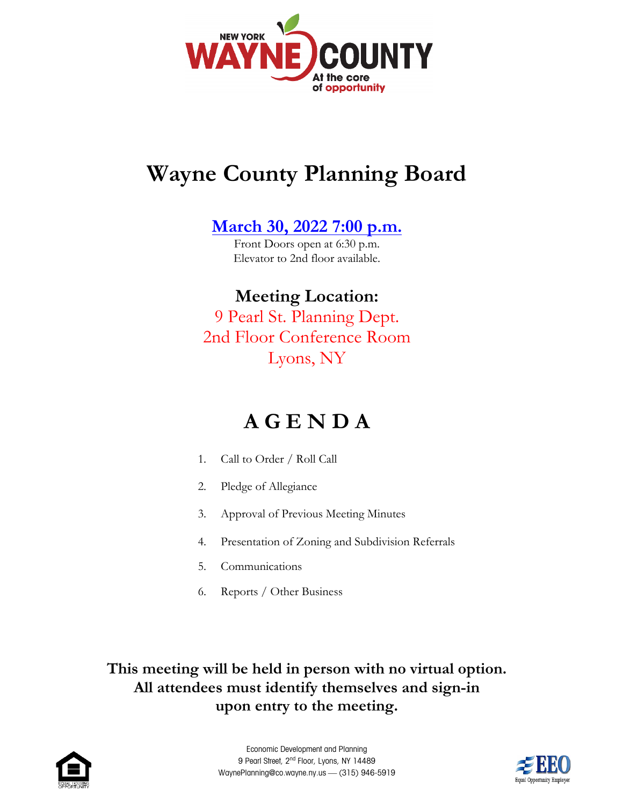

## **Wayne County Planning Board**

**[March 30, 2022](https://web.co.wayne.ny.us/Calendar.aspx?EID=416&month=3&year=2022&day=30&calType=0) 7:00 p.m.**

Front Doors open at 6:30 p.m. Elevator to 2nd floor available.

**Meeting Location:**  9 Pearl St. Planning Dept. 2nd Floor Conference Room Lyons, NY

## **A G E N D A**

- 1. Call to Order / Roll Call
- 2. Pledge of Allegiance
- 3. Approval of Previous Meeting Minutes
- 4. Presentation of Zoning and Subdivision Referrals
- 5. Communications
- 6. Reports / Other Business

**This meeting will be held in person with no virtual option. All attendees must identify themselves and sign-in upon entry to the meeting.**